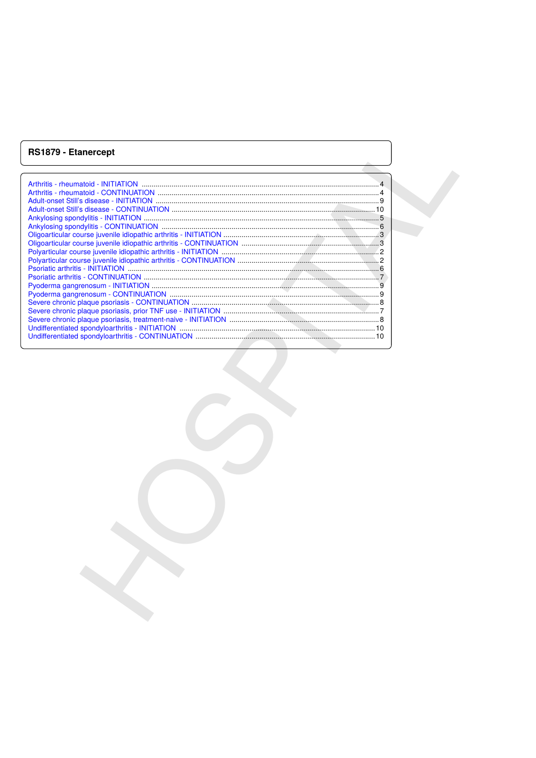# **RS1879 - Etanercept**

| RS1879 - Etanercept |
|---------------------|
|                     |
|                     |
|                     |
|                     |
|                     |
|                     |
|                     |
|                     |
|                     |
|                     |
|                     |
|                     |
|                     |
|                     |
|                     |
|                     |
|                     |
|                     |
|                     |
|                     |
|                     |
|                     |
|                     |
|                     |
|                     |
|                     |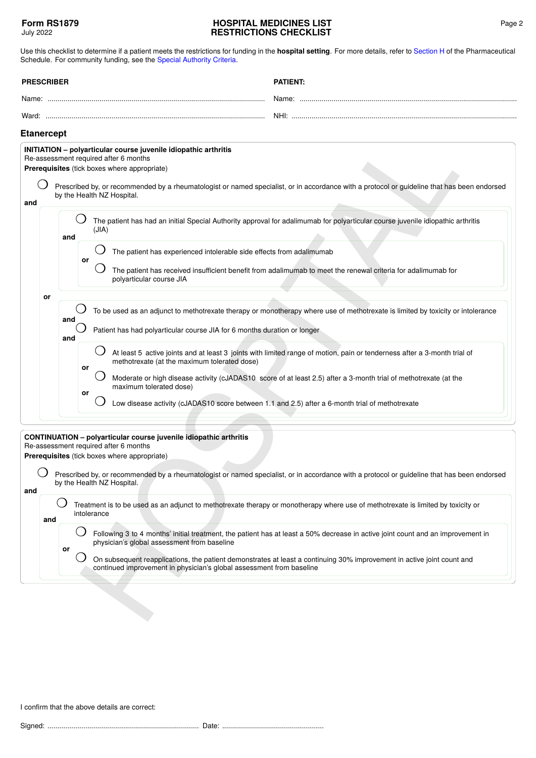Use this checklist to determine if a patient meets the restrictions for funding in the **hospital setting**. For more details, refer to [Section H](https://pharmac.govt.nz/section-h/) of the Pharmaceutical Schedule. For community funding, see the [Special Authority Criteria](https://pharmac.govt.nz/SAForms/).

<span id="page-1-0"></span>

| <b>PRESCRIBER</b> |     |            |          | <b>PATIENT:</b>                                                                                                                                                                                                                                                                                                                       |  |  |  |
|-------------------|-----|------------|----------|---------------------------------------------------------------------------------------------------------------------------------------------------------------------------------------------------------------------------------------------------------------------------------------------------------------------------------------|--|--|--|
|                   |     |            |          |                                                                                                                                                                                                                                                                                                                                       |  |  |  |
|                   |     |            |          |                                                                                                                                                                                                                                                                                                                                       |  |  |  |
| <b>Etanercept</b> |     |            |          |                                                                                                                                                                                                                                                                                                                                       |  |  |  |
| and               |     |            |          | INITIATION - polyarticular course juvenile idiopathic arthritis<br>Re-assessment required after 6 months<br>Prerequisites (tick boxes where appropriate)<br>Prescribed by, or recommended by a rheumatologist or named specialist, or in accordance with a protocol or guideline that has been endorsed<br>by the Health NZ Hospital. |  |  |  |
|                   |     | and        |          | The patient has had an initial Special Authority approval for adalimumab for polyarticular course juvenile idiopathic arthritis<br>(JIA)                                                                                                                                                                                              |  |  |  |
|                   |     |            | or       | The patient has experienced intolerable side effects from adalimumab<br>The patient has received insufficient benefit from adalimumab to meet the renewal criteria for adalimumab for<br>polyarticular course JIA                                                                                                                     |  |  |  |
|                   | or  | and<br>and |          | To be used as an adjunct to methotrexate therapy or monotherapy where use of methotrexate is limited by toxicity or intolerance<br>Patient has had polyarticular course JIA for 6 months duration or longer                                                                                                                           |  |  |  |
|                   |     |            | or<br>or | At least 5 active joints and at least 3 joints with limited range of motion, pain or tenderness after a 3-month trial of<br>methotrexate (at the maximum tolerated dose)<br>Moderate or high disease activity (cJADAS10 score of at least 2.5) after a 3-month trial of methotrexate (at the<br>maximum tolerated dose)               |  |  |  |
|                   |     |            |          | Low disease activity (cJADAS10 score between 1.1 and 2.5) after a 6-month trial of methotrexate                                                                                                                                                                                                                                       |  |  |  |
|                   |     |            |          | CONTINUATION - polyarticular course juvenile idiopathic arthritis<br>Re-assessment required after 6 months<br>Prerequisites (tick boxes where appropriate)                                                                                                                                                                            |  |  |  |
| and               |     |            |          | Prescribed by, or recommended by a rheumatologist or named specialist, or in accordance with a protocol or guideline that has been endorsed<br>by the Health NZ Hospital.                                                                                                                                                             |  |  |  |
|                   | and |            |          | Treatment is to be used as an adjunct to methotrexate therapy or monotherapy where use of methotrexate is limited by toxicity or<br>intolerance                                                                                                                                                                                       |  |  |  |
|                   |     | or         |          | Following 3 to 4 months' initial treatment, the patient has at least a 50% decrease in active joint count and an improvement in<br>physician's global assessment from baseline                                                                                                                                                        |  |  |  |
|                   |     |            |          | On subsequent reapplications, the patient demonstrates at least a continuing 30% improvement in active joint count and<br>continued improvement in physician's global assessment from baseline                                                                                                                                        |  |  |  |
|                   |     |            |          |                                                                                                                                                                                                                                                                                                                                       |  |  |  |

#### **CONTINUATION – polyarticular course juvenile idiopathic arthritis** Re-assessment required after 6 months

|     | Prescribed by, or recommended by a rheumatologist or named specialist, or in accordance with a protocol or guideline that has been endorsed |  |  |  |
|-----|---------------------------------------------------------------------------------------------------------------------------------------------|--|--|--|
|     | by the Health NZ Hospital.                                                                                                                  |  |  |  |
| and |                                                                                                                                             |  |  |  |

<span id="page-1-1"></span>

| Treatment is to be used as an adjunct to methotrexate therapy or monotherapy where use of methotrexate is limited by toxicity or<br>intolerance |
|-------------------------------------------------------------------------------------------------------------------------------------------------|
|                                                                                                                                                 |

I confirm that the above details are correct:

Signed: ............................................................................ Date: ...................................................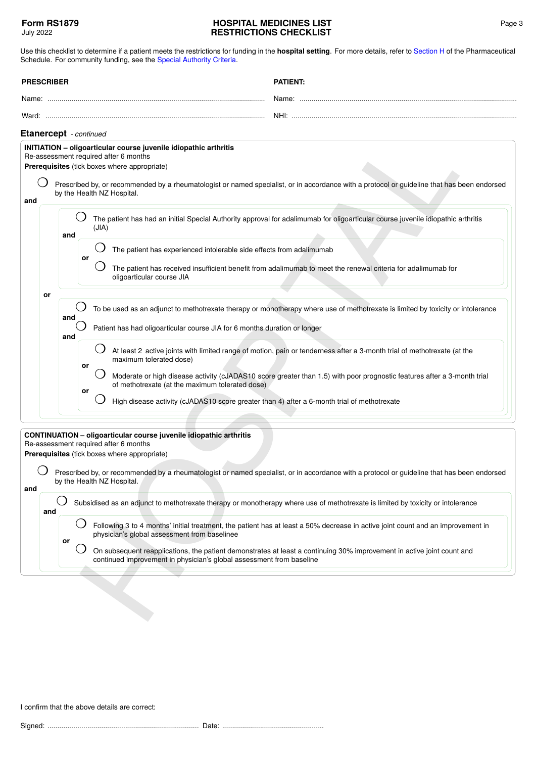<span id="page-2-1"></span><span id="page-2-0"></span>

|                        | <b>PRESCRIBER</b> |            |          |       |                                                                                                                                                                                                  | <b>PATIENT:</b>                                                                                                                                                                                                                                           |
|------------------------|-------------------|------------|----------|-------|--------------------------------------------------------------------------------------------------------------------------------------------------------------------------------------------------|-----------------------------------------------------------------------------------------------------------------------------------------------------------------------------------------------------------------------------------------------------------|
|                        |                   |            |          |       |                                                                                                                                                                                                  |                                                                                                                                                                                                                                                           |
|                        |                   |            |          |       |                                                                                                                                                                                                  |                                                                                                                                                                                                                                                           |
| Etanercept - continued |                   |            |          |       |                                                                                                                                                                                                  |                                                                                                                                                                                                                                                           |
| and                    |                   |            |          |       | INITIATION - oligoarticular course juvenile idiopathic arthritis<br>Re-assessment required after 6 months<br>Prerequisites (tick boxes where appropriate)<br>by the Health NZ Hospital.          | Prescribed by, or recommended by a rheumatologist or named specialist, or in accordance with a protocol or guideline that has been endorsed                                                                                                               |
|                        |                   |            | and      | (JIA) |                                                                                                                                                                                                  | The patient has had an initial Special Authority approval for adalimumab for oligoarticular course juvenile idiopathic arthritis                                                                                                                          |
|                        |                   |            | or       |       | The patient has experienced intolerable side effects from adalimumab<br>oligoarticular course JIA                                                                                                | The patient has received insufficient benefit from adalimumab to meet the renewal criteria for adalimumab for                                                                                                                                             |
|                        | or                | and<br>and |          |       | Patient has had oligoarticular course JIA for 6 months duration or longer                                                                                                                        | To be used as an adjunct to methotrexate therapy or monotherapy where use of methotrexate is limited by toxicity or intolerance                                                                                                                           |
|                        |                   |            | or<br>or |       | maximum tolerated dose)<br>of methotrexate (at the maximum tolerated dose)<br>High disease activity (cJADAS10 score greater than 4) after a 6-month trial of methotrexate                        | At least 2 active joints with limited range of motion, pain or tenderness after a 3-month trial of methotrexate (at the<br>Moderate or high disease activity (cJADAS10 score greater than 1.5) with poor prognostic features after a 3-month trial        |
| and                    |                   |            |          |       | <b>CONTINUATION - oligoarticular course juvenile idiopathic arthritis</b><br>Re-assessment required after 6 months<br>Prerequisites (tick boxes where appropriate)<br>by the Health NZ Hospital. | Prescribed by, or recommended by a rheumatologist or named specialist, or in accordance with a protocol or guideline that has been endorsed                                                                                                               |
|                        | and               |            |          |       |                                                                                                                                                                                                  | Subsidised as an adjunct to methotrexate therapy or monotherapy where use of methotrexate is limited by toxicity or intolerance                                                                                                                           |
|                        |                   | or         |          |       | physician's global assessment from baselinee<br>continued improvement in physician's global assessment from baseline                                                                             | Following 3 to 4 months' initial treatment, the patient has at least a 50% decrease in active joint count and an improvement in<br>On subsequent reapplications, the patient demonstrates at least a continuing 30% improvement in active joint count and |
|                        |                   |            |          |       |                                                                                                                                                                                                  |                                                                                                                                                                                                                                                           |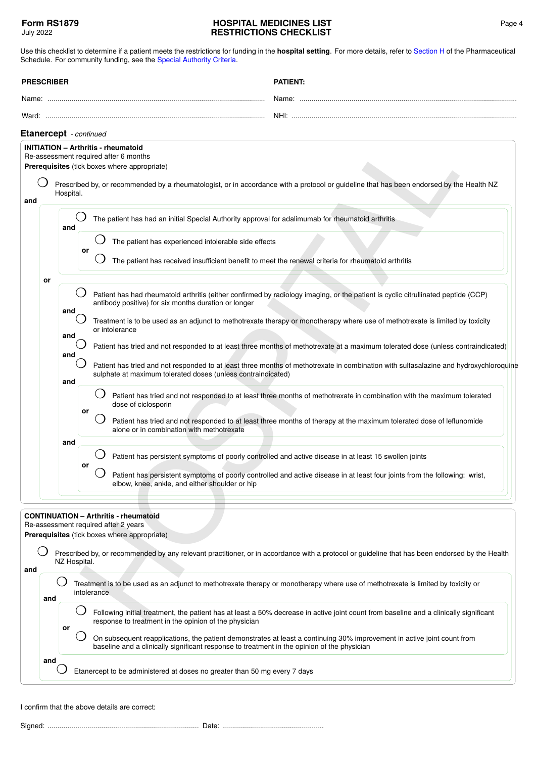Use this checklist to determine if a patient meets the restrictions for funding in the **hospital setting**. For more details, refer to [Section H](https://pharmac.govt.nz/section-h/) of the Pharmaceutical Schedule. For community funding, see the [Special Authority Criteria](https://pharmac.govt.nz/SAForms/).

<span id="page-3-0"></span>

|     | <b>PRESCRIBER</b>      |                                 |          |             | <b>PATIENT:</b>                                                                                                                                                                                                                                                                                                                                                                                                                                                                                                                                                                                                                                                                                                                                                                                                                                                                                                                                                                                                                                                                                                           |
|-----|------------------------|---------------------------------|----------|-------------|---------------------------------------------------------------------------------------------------------------------------------------------------------------------------------------------------------------------------------------------------------------------------------------------------------------------------------------------------------------------------------------------------------------------------------------------------------------------------------------------------------------------------------------------------------------------------------------------------------------------------------------------------------------------------------------------------------------------------------------------------------------------------------------------------------------------------------------------------------------------------------------------------------------------------------------------------------------------------------------------------------------------------------------------------------------------------------------------------------------------------|
|     |                        |                                 |          |             |                                                                                                                                                                                                                                                                                                                                                                                                                                                                                                                                                                                                                                                                                                                                                                                                                                                                                                                                                                                                                                                                                                                           |
|     |                        |                                 |          |             |                                                                                                                                                                                                                                                                                                                                                                                                                                                                                                                                                                                                                                                                                                                                                                                                                                                                                                                                                                                                                                                                                                                           |
|     | Etanercept - continued |                                 |          |             |                                                                                                                                                                                                                                                                                                                                                                                                                                                                                                                                                                                                                                                                                                                                                                                                                                                                                                                                                                                                                                                                                                                           |
| and |                        | Hospital.                       |          |             | <b>INITIATION - Arthritis - rheumatoid</b><br>Re-assessment required after 6 months<br>Prerequisites (tick boxes where appropriate)<br>Prescribed by, or recommended by a rheumatologist, or in accordance with a protocol or guideline that has been endorsed by the Health NZ                                                                                                                                                                                                                                                                                                                                                                                                                                                                                                                                                                                                                                                                                                                                                                                                                                           |
|     |                        | and                             |          |             | The patient has had an initial Special Authority approval for adalimumab for rheumatoid arthritis                                                                                                                                                                                                                                                                                                                                                                                                                                                                                                                                                                                                                                                                                                                                                                                                                                                                                                                                                                                                                         |
|     |                        |                                 | or       |             | The patient has experienced intolerable side effects<br>The patient has received insufficient benefit to meet the renewal criteria for rheumatoid arthritis                                                                                                                                                                                                                                                                                                                                                                                                                                                                                                                                                                                                                                                                                                                                                                                                                                                                                                                                                               |
|     | or                     | and<br>and<br>and<br>and<br>and | or<br>or |             | Patient has had rheumatoid arthritis (either confirmed by radiology imaging, or the patient is cyclic citrullinated peptide (CCP)<br>antibody positive) for six months duration or longer<br>Treatment is to be used as an adjunct to methotrexate therapy or monotherapy where use of methotrexate is limited by toxicity<br>or intolerance<br>Patient has tried and not responded to at least three months of methotrexate at a maximum tolerated dose (unless contraindicated)<br>Patient has tried and not responded to at least three months of methotrexate in combination with sulfasalazine and hydroxychloroquine<br>sulphate at maximum tolerated doses (unless contraindicated)<br>Patient has tried and not responded to at least three months of methotrexate in combination with the maximum tolerated<br>dose of ciclosporin<br>Patient has tried and not responded to at least three months of therapy at the maximum tolerated dose of leflunomide<br>alone or in combination with methotrexate<br>Patient has persistent symptoms of poorly controlled and active disease in at least 15 swollen joints |
|     |                        |                                 |          |             | Patient has persistent symptoms of poorly controlled and active disease in at least four joints from the following: wrist,<br>elbow, knee, ankle, and either shoulder or hip                                                                                                                                                                                                                                                                                                                                                                                                                                                                                                                                                                                                                                                                                                                                                                                                                                                                                                                                              |
|     |                        | NZ Hospital.                    |          |             | <b>CONTINUATION - Arthritis - rheumatoid</b><br>Re-assessment required after 2 years<br>Prerequisites (tick boxes where appropriate)<br>Prescribed by, or recommended by any relevant practitioner, or in accordance with a protocol or guideline that has been endorsed by the Health                                                                                                                                                                                                                                                                                                                                                                                                                                                                                                                                                                                                                                                                                                                                                                                                                                    |
| and | and                    |                                 |          | intolerance | Treatment is to be used as an adjunct to methotrexate therapy or monotherapy where use of methotrexate is limited by toxicity or                                                                                                                                                                                                                                                                                                                                                                                                                                                                                                                                                                                                                                                                                                                                                                                                                                                                                                                                                                                          |
|     |                        |                                 |          |             | Following initial treatment, the patient has at least a 50% decrease in active joint count from baseline and a clinically significant<br>ance to treatment in the eninien of the physician                                                                                                                                                                                                                                                                                                                                                                                                                                                                                                                                                                                                                                                                                                                                                                                                                                                                                                                                |

<span id="page-3-1"></span>

| and |    | Treatment is to be used as an adjunct to methotrexate therapy or monotherapy where use of methotrexate is limited by toxicity or<br>intolerance                                                                        |
|-----|----|------------------------------------------------------------------------------------------------------------------------------------------------------------------------------------------------------------------------|
|     |    | Following initial treatment, the patient has at least a 50% decrease in active joint count from baseline and a clinically significant<br>response to treatment in the opinion of the physician                         |
|     | or | On subsequent reapplications, the patient demonstrates at least a continuing 30% improvement in active joint count from<br>baseline and a clinically significant response to treatment in the opinion of the physician |

I confirm that the above details are correct: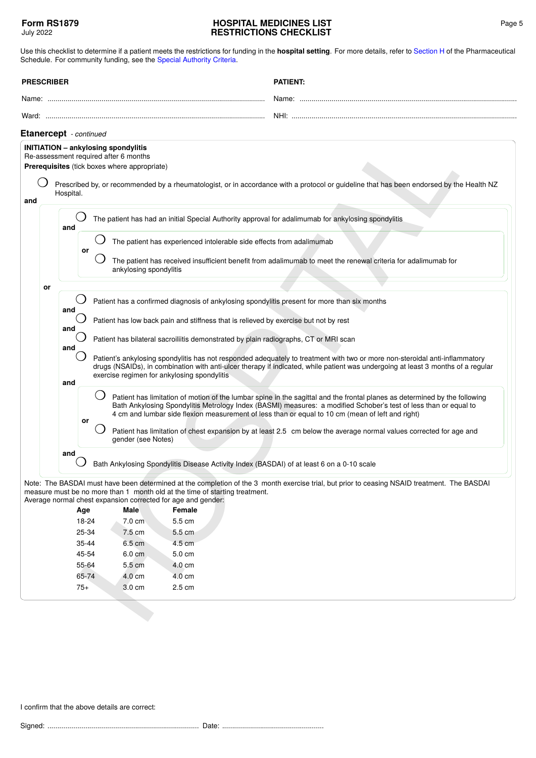Use this checklist to determine if a patient meets the restrictions for funding in the **hospital setting**. For more details, refer to [Section H](https://pharmac.govt.nz/section-h/) of the Pharmaceutical Schedule. For community funding, see the [Special Authority Criteria](https://pharmac.govt.nz/SAForms/).

<span id="page-4-0"></span>

|                                                                                                                                                                                                                                                                                                                          | <b>PRESCRIBER</b> |                                       |                                                                                                                                     | <b>PATIENT:</b>                                                                                                                                                                                                                                                                                                                                                                                                                                                                                                                                                                                                                                                                                                                                                                                                                                                                                                                                                                                                             |  |
|--------------------------------------------------------------------------------------------------------------------------------------------------------------------------------------------------------------------------------------------------------------------------------------------------------------------------|-------------------|---------------------------------------|-------------------------------------------------------------------------------------------------------------------------------------|-----------------------------------------------------------------------------------------------------------------------------------------------------------------------------------------------------------------------------------------------------------------------------------------------------------------------------------------------------------------------------------------------------------------------------------------------------------------------------------------------------------------------------------------------------------------------------------------------------------------------------------------------------------------------------------------------------------------------------------------------------------------------------------------------------------------------------------------------------------------------------------------------------------------------------------------------------------------------------------------------------------------------------|--|
|                                                                                                                                                                                                                                                                                                                          |                   |                                       |                                                                                                                                     |                                                                                                                                                                                                                                                                                                                                                                                                                                                                                                                                                                                                                                                                                                                                                                                                                                                                                                                                                                                                                             |  |
|                                                                                                                                                                                                                                                                                                                          |                   |                                       |                                                                                                                                     |                                                                                                                                                                                                                                                                                                                                                                                                                                                                                                                                                                                                                                                                                                                                                                                                                                                                                                                                                                                                                             |  |
|                                                                                                                                                                                                                                                                                                                          |                   | Etanercept - continued                |                                                                                                                                     |                                                                                                                                                                                                                                                                                                                                                                                                                                                                                                                                                                                                                                                                                                                                                                                                                                                                                                                                                                                                                             |  |
|                                                                                                                                                                                                                                                                                                                          |                   |                                       | <b>INITIATION - ankylosing spondylitis</b><br>Re-assessment required after 6 months<br>Prerequisites (tick boxes where appropriate) |                                                                                                                                                                                                                                                                                                                                                                                                                                                                                                                                                                                                                                                                                                                                                                                                                                                                                                                                                                                                                             |  |
| and                                                                                                                                                                                                                                                                                                                      |                   | Hospital.                             |                                                                                                                                     | Prescribed by, or recommended by a rheumatologist, or in accordance with a protocol or guideline that has been endorsed by the Health NZ                                                                                                                                                                                                                                                                                                                                                                                                                                                                                                                                                                                                                                                                                                                                                                                                                                                                                    |  |
|                                                                                                                                                                                                                                                                                                                          |                   | and                                   |                                                                                                                                     | The patient has had an initial Special Authority approval for adalimumab for ankylosing spondylitis                                                                                                                                                                                                                                                                                                                                                                                                                                                                                                                                                                                                                                                                                                                                                                                                                                                                                                                         |  |
|                                                                                                                                                                                                                                                                                                                          |                   | or                                    |                                                                                                                                     | The patient has experienced intolerable side effects from adalimumab                                                                                                                                                                                                                                                                                                                                                                                                                                                                                                                                                                                                                                                                                                                                                                                                                                                                                                                                                        |  |
|                                                                                                                                                                                                                                                                                                                          |                   |                                       | ankylosing spondylitis                                                                                                              | The patient has received insufficient benefit from adalimumab to meet the renewal criteria for adalimumab for                                                                                                                                                                                                                                                                                                                                                                                                                                                                                                                                                                                                                                                                                                                                                                                                                                                                                                               |  |
|                                                                                                                                                                                                                                                                                                                          | or                |                                       |                                                                                                                                     |                                                                                                                                                                                                                                                                                                                                                                                                                                                                                                                                                                                                                                                                                                                                                                                                                                                                                                                                                                                                                             |  |
|                                                                                                                                                                                                                                                                                                                          |                   | and<br>and<br>and<br>and<br>or<br>and | exercise regimen for ankylosing spondylitis<br>$\Box$<br>gender (see Notes)                                                         | Patient has a confirmed diagnosis of ankylosing spondylitis present for more than six months<br>Patient has low back pain and stiffness that is relieved by exercise but not by rest<br>Patient has bilateral sacroiliitis demonstrated by plain radiographs, CT or MRI scan<br>Patient's ankylosing spondylitis has not responded adequately to treatment with two or more non-steroidal anti-inflammatory<br>drugs (NSAIDs), in combination with anti-ulcer therapy if indicated, while patient was undergoing at least 3 months of a regular<br>Patient has limitation of motion of the lumbar spine in the sagittal and the frontal planes as determined by the following<br>Bath Ankylosing Spondylitis Metrology Index (BASMI) measures: a modified Schober's test of less than or equal to<br>4 cm and lumbar side flexion measurement of less than or equal to 10 cm (mean of left and right)<br>Patient has limitation of chest expansion by at least 2.5 cm below the average normal values corrected for age and |  |
| Bath Ankylosing Spondylitis Disease Activity Index (BASDAI) of at least 6 on a 0-10 scale<br>Note: The BASDAI must have been determined at the completion of the 3 month exercise trial, but prior to ceasing NSAID treatment. The BASDAI<br>measure must be no more than 1 month old at the time of starting treatment. |                   |                                       |                                                                                                                                     |                                                                                                                                                                                                                                                                                                                                                                                                                                                                                                                                                                                                                                                                                                                                                                                                                                                                                                                                                                                                                             |  |
|                                                                                                                                                                                                                                                                                                                          |                   | Age                                   | Average normal chest expansion corrected for age and gender:<br>Male                                                                | Female                                                                                                                                                                                                                                                                                                                                                                                                                                                                                                                                                                                                                                                                                                                                                                                                                                                                                                                                                                                                                      |  |
|                                                                                                                                                                                                                                                                                                                          |                   | 18-24                                 | 7.0 cm                                                                                                                              | 5.5 cm                                                                                                                                                                                                                                                                                                                                                                                                                                                                                                                                                                                                                                                                                                                                                                                                                                                                                                                                                                                                                      |  |
|                                                                                                                                                                                                                                                                                                                          |                   | 25-34                                 | 7.5 cm                                                                                                                              | $5.5 \text{ cm}$                                                                                                                                                                                                                                                                                                                                                                                                                                                                                                                                                                                                                                                                                                                                                                                                                                                                                                                                                                                                            |  |
|                                                                                                                                                                                                                                                                                                                          |                   | 35-44                                 | 6.5 cm                                                                                                                              | 4.5 cm                                                                                                                                                                                                                                                                                                                                                                                                                                                                                                                                                                                                                                                                                                                                                                                                                                                                                                                                                                                                                      |  |
|                                                                                                                                                                                                                                                                                                                          |                   | 45-54                                 | 6.0 cm                                                                                                                              | 5.0 cm                                                                                                                                                                                                                                                                                                                                                                                                                                                                                                                                                                                                                                                                                                                                                                                                                                                                                                                                                                                                                      |  |
|                                                                                                                                                                                                                                                                                                                          |                   | 55-64                                 | 5.5 cm                                                                                                                              | 4.0 cm                                                                                                                                                                                                                                                                                                                                                                                                                                                                                                                                                                                                                                                                                                                                                                                                                                                                                                                                                                                                                      |  |
|                                                                                                                                                                                                                                                                                                                          |                   | 65-74<br>$75+$                        | 4.0 cm<br>3.0 cm                                                                                                                    | $4.0 \text{ cm}$<br>2.5 cm                                                                                                                                                                                                                                                                                                                                                                                                                                                                                                                                                                                                                                                                                                                                                                                                                                                                                                                                                                                                  |  |
|                                                                                                                                                                                                                                                                                                                          |                   |                                       |                                                                                                                                     |                                                                                                                                                                                                                                                                                                                                                                                                                                                                                                                                                                                                                                                                                                                                                                                                                                                                                                                                                                                                                             |  |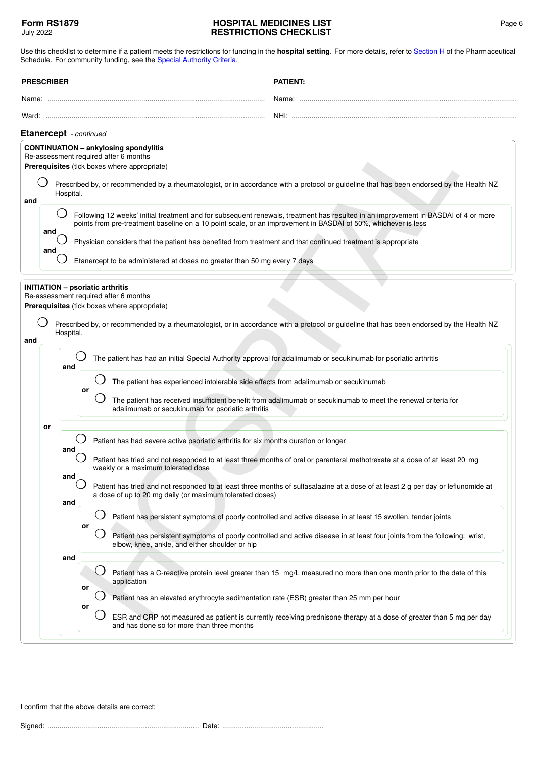<span id="page-5-1"></span><span id="page-5-0"></span>

| <b>PRESCRIBER</b> |                                                                                                                                               | <b>PATIENT:</b>                                                                                                                                                                                                                                                                                                         |
|-------------------|-----------------------------------------------------------------------------------------------------------------------------------------------|-------------------------------------------------------------------------------------------------------------------------------------------------------------------------------------------------------------------------------------------------------------------------------------------------------------------------|
|                   |                                                                                                                                               |                                                                                                                                                                                                                                                                                                                         |
|                   |                                                                                                                                               |                                                                                                                                                                                                                                                                                                                         |
|                   | Etanercept - continued                                                                                                                        |                                                                                                                                                                                                                                                                                                                         |
|                   | <b>CONTINUATION - ankylosing spondylitis</b><br>Re-assessment required after 6 months<br>Prerequisites (tick boxes where appropriate)         |                                                                                                                                                                                                                                                                                                                         |
| and               | Hospital.                                                                                                                                     | Prescribed by, or recommended by a rheumatologist, or in accordance with a protocol or guideline that has been endorsed by the Health NZ                                                                                                                                                                                |
|                   |                                                                                                                                               | Following 12 weeks' initial treatment and for subsequent renewals, treatment has resulted in an improvement in BASDAI of 4 or more<br>points from pre-treatment baseline on a 10 point scale, or an improvement in BASDAI of 50%, whichever is less                                                                     |
| and<br>and        |                                                                                                                                               | Physician considers that the patient has benefited from treatment and that continued treatment is appropriate                                                                                                                                                                                                           |
|                   | Etanercept to be administered at doses no greater than 50 mg every 7 days                                                                     |                                                                                                                                                                                                                                                                                                                         |
| and               | <b>INITIATION - psoriatic arthritis</b><br>Re-assessment required after 6 months<br>Prerequisites (tick boxes where appropriate)<br>Hospital. | Prescribed by, or recommended by a rheumatologist, or in accordance with a protocol or guideline that has been endorsed by the Health NZ                                                                                                                                                                                |
|                   | and<br>or<br>adalimumab or secukinumab for psoriatic arthritis                                                                                | The patient has had an initial Special Authority approval for adalimumab or secukinumab for psoriatic arthritis<br>The patient has experienced intolerable side effects from adalimumab or secukinumab<br>The patient has received insufficient benefit from adalimumab or secukinumab to meet the renewal criteria for |
| or                | Patient has had severe active psoriatic arthritis for six months duration or longer<br>and                                                    | Patient has tried and not responded to at least three months of oral or parenteral methotrexate at a dose of at least 20 mg                                                                                                                                                                                             |
|                   | weekly or a maximum tolerated dose<br>and<br>a dose of up to 20 mg daily (or maximum tolerated doses)<br>and                                  | Patient has tried and not responded to at least three months of sulfasalazine at a dose of at least 2 g per day or leflunomide at                                                                                                                                                                                       |
|                   | or<br>elbow, knee, ankle, and either shoulder or hip                                                                                          | Patient has persistent symptoms of poorly controlled and active disease in at least 15 swollen, tender joints<br>Patient has persistent symptoms of poorly controlled and active disease in at least four joints from the following: wrist,                                                                             |
|                   | and<br>application<br>or                                                                                                                      | Patient has a C-reactive protein level greater than 15 mg/L measured no more than one month prior to the date of this<br>Patient has an elevated erythrocyte sedimentation rate (ESR) greater than 25 mm per hour                                                                                                       |
|                   | or<br>and has done so for more than three months                                                                                              | ESR and CRP not measured as patient is currently receiving prednisone therapy at a dose of greater than 5 mg per day                                                                                                                                                                                                    |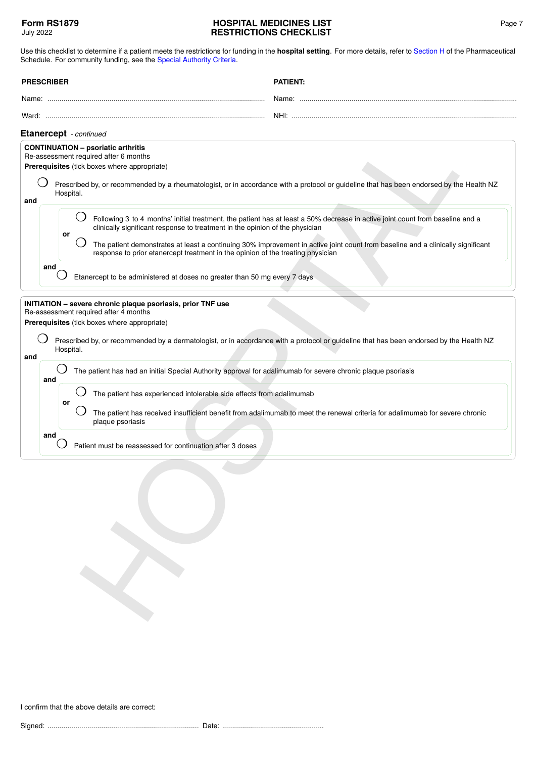<span id="page-6-1"></span><span id="page-6-0"></span>

| <b>PRESCRIBER</b>                                                          | <b>PATIENT:</b>                                                                                                                                                                                                                                                                                                                                                                                                                                                                                                                                                                                                                                                                                                                                       |
|----------------------------------------------------------------------------|-------------------------------------------------------------------------------------------------------------------------------------------------------------------------------------------------------------------------------------------------------------------------------------------------------------------------------------------------------------------------------------------------------------------------------------------------------------------------------------------------------------------------------------------------------------------------------------------------------------------------------------------------------------------------------------------------------------------------------------------------------|
|                                                                            |                                                                                                                                                                                                                                                                                                                                                                                                                                                                                                                                                                                                                                                                                                                                                       |
|                                                                            |                                                                                                                                                                                                                                                                                                                                                                                                                                                                                                                                                                                                                                                                                                                                                       |
| Etanercept - continued                                                     |                                                                                                                                                                                                                                                                                                                                                                                                                                                                                                                                                                                                                                                                                                                                                       |
| <b>CONTINUATION - psoriatic arthritis</b><br>Hospital.<br>and<br>or<br>and | Re-assessment required after 6 months<br>Prerequisites (tick boxes where appropriate)<br>Prescribed by, or recommended by a rheumatologist, or in accordance with a protocol or guideline that has been endorsed by the Health NZ<br>Following 3 to 4 months' initial treatment, the patient has at least a 50% decrease in active joint count from baseline and a<br>clinically significant response to treatment in the opinion of the physician<br>The patient demonstrates at least a continuing 30% improvement in active joint count from baseline and a clinically significant<br>response to prior etanercept treatment in the opinion of the treating physician<br>Etanercept to be administered at doses no greater than 50 mg every 7 days |
| Hospital.<br>and<br>and<br>or<br>and                                       | INITIATION - severe chronic plaque psoriasis, prior TNF use<br>Re-assessment required after 4 months<br>Prerequisites (tick boxes where appropriate)<br>Prescribed by, or recommended by a dermatologist, or in accordance with a protocol or guideline that has been endorsed by the Health NZ<br>The patient has had an initial Special Authority approval for adalimumab for severe chronic plaque psoriasis<br>The patient has experienced intolerable side effects from adalimumab<br>The patient has received insufficient benefit from adalimumab to meet the renewal criteria for adalimumab for severe chronic<br>plaque psoriasis                                                                                                           |
|                                                                            | Patient must be reassessed for continuation after 3 doses                                                                                                                                                                                                                                                                                                                                                                                                                                                                                                                                                                                                                                                                                             |
|                                                                            |                                                                                                                                                                                                                                                                                                                                                                                                                                                                                                                                                                                                                                                                                                                                                       |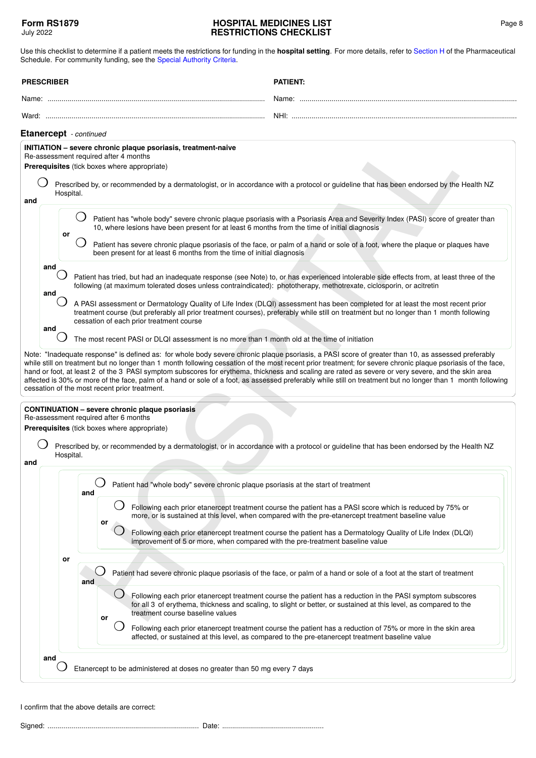<span id="page-7-1"></span>

| <b>PRESCRIBER</b>                                                                                                                                                                                                                          | <b>PATIENT:</b>                                                                                                                                                                                                                                                                                                                                                                                                                                                                                                                                                                                                                                                                                                                                                                                                                                                                                                                                                                                                                                                                                                                                                                                                                                                                                                                                                                                                                                                                                                                                                                                                                                                                                                                        |
|--------------------------------------------------------------------------------------------------------------------------------------------------------------------------------------------------------------------------------------------|----------------------------------------------------------------------------------------------------------------------------------------------------------------------------------------------------------------------------------------------------------------------------------------------------------------------------------------------------------------------------------------------------------------------------------------------------------------------------------------------------------------------------------------------------------------------------------------------------------------------------------------------------------------------------------------------------------------------------------------------------------------------------------------------------------------------------------------------------------------------------------------------------------------------------------------------------------------------------------------------------------------------------------------------------------------------------------------------------------------------------------------------------------------------------------------------------------------------------------------------------------------------------------------------------------------------------------------------------------------------------------------------------------------------------------------------------------------------------------------------------------------------------------------------------------------------------------------------------------------------------------------------------------------------------------------------------------------------------------------|
|                                                                                                                                                                                                                                            |                                                                                                                                                                                                                                                                                                                                                                                                                                                                                                                                                                                                                                                                                                                                                                                                                                                                                                                                                                                                                                                                                                                                                                                                                                                                                                                                                                                                                                                                                                                                                                                                                                                                                                                                        |
|                                                                                                                                                                                                                                            |                                                                                                                                                                                                                                                                                                                                                                                                                                                                                                                                                                                                                                                                                                                                                                                                                                                                                                                                                                                                                                                                                                                                                                                                                                                                                                                                                                                                                                                                                                                                                                                                                                                                                                                                        |
| <b>Etanercept</b> - continued                                                                                                                                                                                                              |                                                                                                                                                                                                                                                                                                                                                                                                                                                                                                                                                                                                                                                                                                                                                                                                                                                                                                                                                                                                                                                                                                                                                                                                                                                                                                                                                                                                                                                                                                                                                                                                                                                                                                                                        |
| INITIATION - severe chronic plaque psoriasis, treatment-naive<br>Re-assessment required after 4 months<br>Prerequisites (tick boxes where appropriate)                                                                                     | Prescribed by, or recommended by a dermatologist, or in accordance with a protocol or guideline that has been endorsed by the Health NZ                                                                                                                                                                                                                                                                                                                                                                                                                                                                                                                                                                                                                                                                                                                                                                                                                                                                                                                                                                                                                                                                                                                                                                                                                                                                                                                                                                                                                                                                                                                                                                                                |
| Hospital.<br>and<br>or<br>and<br>and<br>cessation of each prior treatment course<br>and<br>cessation of the most recent prior treatment.<br><b>CONTINUATION - severe chronic plaque psoriasis</b><br>Re-assessment required after 6 months | Patient has "whole body" severe chronic plaque psoriasis with a Psoriasis Area and Severity Index (PASI) score of greater than<br>10, where lesions have been present for at least 6 months from the time of initial diagnosis<br>Patient has severe chronic plaque psoriasis of the face, or palm of a hand or sole of a foot, where the plaque or plaques have<br>been present for at least 6 months from the time of initial diagnosis<br>Patient has tried, but had an inadequate response (see Note) to, or has experienced intolerable side effects from, at least three of the<br>following (at maximum tolerated doses unless contraindicated): phototherapy, methotrexate, ciclosporin, or acitretin<br>A PASI assessment or Dermatology Quality of Life Index (DLQI) assessment has been completed for at least the most recent prior<br>treatment course (but preferably all prior treatment courses), preferably while still on treatment but no longer than 1 month following<br>The most recent PASI or DLQI assessment is no more than 1 month old at the time of initiation<br>Note: "Inadequate response" is defined as: for whole body severe chronic plaque psoriasis, a PASI score of greater than 10, as assessed preferably<br>while still on treatment but no longer than 1 month following cessation of the most recent prior treatment; for severe chronic plaque psoriasis of the face,<br>hand or foot, at least 2 of the 3 PASI symptom subscores for erythema, thickness and scaling are rated as severe or very severe, and the skin area<br>affected is 30% or more of the face, palm of a hand or sole of a foot, as assessed preferably while still on treatment but no longer than 1 month following |
| Prerequisites (tick boxes where appropriate)<br>Hospital.                                                                                                                                                                                  | Prescribed by, or recommended by a dermatologist, or in accordance with a protocol or guideline that has been endorsed by the Health NZ                                                                                                                                                                                                                                                                                                                                                                                                                                                                                                                                                                                                                                                                                                                                                                                                                                                                                                                                                                                                                                                                                                                                                                                                                                                                                                                                                                                                                                                                                                                                                                                                |
| and<br>and<br>or<br>or<br>and<br>or                                                                                                                                                                                                        | Patient had "whole body" severe chronic plaque psoriasis at the start of treatment<br>Following each prior etanercept treatment course the patient has a PASI score which is reduced by 75% or<br>more, or is sustained at this level, when compared with the pre-etanercept treatment baseline value<br>Following each prior etanercept treatment course the patient has a Dermatology Quality of Life Index (DLQI)<br>improvement of 5 or more, when compared with the pre-treatment baseline value<br>Patient had severe chronic plaque psoriasis of the face, or palm of a hand or sole of a foot at the start of treatment<br>Following each prior etanercept treatment course the patient has a reduction in the PASI symptom subscores<br>for all 3 of erythema, thickness and scaling, to slight or better, or sustained at this level, as compared to the<br>treatment course baseline values<br>Following each prior etanercept treatment course the patient has a reduction of 75% or more in the skin area<br>affected, or sustained at this level, as compared to the pre-etanercept treatment baseline value                                                                                                                                                                                                                                                                                                                                                                                                                                                                                                                                                                                                             |
| and                                                                                                                                                                                                                                        | Etanercept to be administered at doses no greater than 50 mg every 7 days                                                                                                                                                                                                                                                                                                                                                                                                                                                                                                                                                                                                                                                                                                                                                                                                                                                                                                                                                                                                                                                                                                                                                                                                                                                                                                                                                                                                                                                                                                                                                                                                                                                              |

<span id="page-7-0"></span>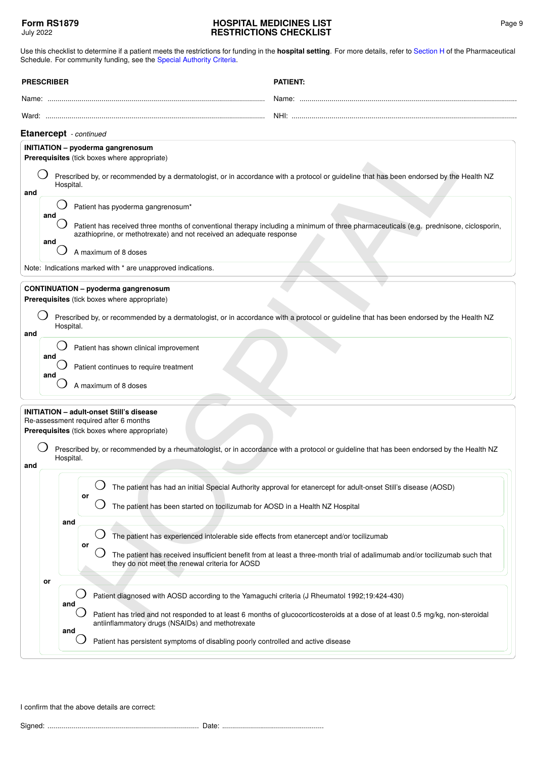<span id="page-8-2"></span><span id="page-8-1"></span><span id="page-8-0"></span>

| <b>PRESCRIBER</b>             |                                                                                                                                                      |           |     | <b>PATIENT:</b>                                                                                                                                                                                               |                                                                                                                                                                                     |  |
|-------------------------------|------------------------------------------------------------------------------------------------------------------------------------------------------|-----------|-----|---------------------------------------------------------------------------------------------------------------------------------------------------------------------------------------------------------------|-------------------------------------------------------------------------------------------------------------------------------------------------------------------------------------|--|
|                               |                                                                                                                                                      |           |     |                                                                                                                                                                                                               |                                                                                                                                                                                     |  |
|                               |                                                                                                                                                      |           |     |                                                                                                                                                                                                               |                                                                                                                                                                                     |  |
| <b>Etanercept</b> - continued |                                                                                                                                                      |           |     |                                                                                                                                                                                                               |                                                                                                                                                                                     |  |
|                               |                                                                                                                                                      |           |     | <b>INITIATION</b> - pyoderma gangrenosum<br>Prerequisites (tick boxes where appropriate)                                                                                                                      |                                                                                                                                                                                     |  |
| and                           | Prescribed by, or recommended by a dermatologist, or in accordance with a protocol or guideline that has been endorsed by the Health NZ<br>Hospital. |           |     |                                                                                                                                                                                                               |                                                                                                                                                                                     |  |
|                               |                                                                                                                                                      |           |     | Patient has pyoderma gangrenosum*                                                                                                                                                                             |                                                                                                                                                                                     |  |
|                               | and<br>and                                                                                                                                           |           |     | Patient has received three months of conventional therapy including a minimum of three pharmaceuticals (e.g. prednisone, ciclosporin,<br>azathioprine, or methotrexate) and not received an adequate response |                                                                                                                                                                                     |  |
|                               |                                                                                                                                                      |           |     | A maximum of 8 doses                                                                                                                                                                                          |                                                                                                                                                                                     |  |
|                               |                                                                                                                                                      |           |     | Note: Indications marked with * are unapproved indications.                                                                                                                                                   |                                                                                                                                                                                     |  |
|                               |                                                                                                                                                      |           |     | <b>CONTINUATION - pyoderma gangrenosum</b><br>Prerequisites (tick boxes where appropriate)                                                                                                                    |                                                                                                                                                                                     |  |
| and                           |                                                                                                                                                      | Hospital. |     | Prescribed by, or recommended by a dermatologist, or in accordance with a protocol or guideline that has been endorsed by the Health NZ                                                                       |                                                                                                                                                                                     |  |
|                               |                                                                                                                                                      |           |     | Patient has shown clinical improvement                                                                                                                                                                        |                                                                                                                                                                                     |  |
|                               | and                                                                                                                                                  |           |     | Patient continues to require treatment                                                                                                                                                                        |                                                                                                                                                                                     |  |
|                               | and                                                                                                                                                  |           |     | A maximum of 8 doses                                                                                                                                                                                          |                                                                                                                                                                                     |  |
|                               |                                                                                                                                                      |           |     |                                                                                                                                                                                                               |                                                                                                                                                                                     |  |
|                               |                                                                                                                                                      |           |     | <b>INITIATION - adult-onset Still's disease</b><br>Re-assessment required after 6 months<br>Prerequisites (tick boxes where appropriate)                                                                      |                                                                                                                                                                                     |  |
| and                           |                                                                                                                                                      | Hospital. |     | Prescribed by, or recommended by a rheumatologist, or in accordance with a protocol or guideline that has been endorsed by the Health NZ                                                                      |                                                                                                                                                                                     |  |
|                               |                                                                                                                                                      |           |     | The patient has had an initial Special Authority approval for etanercept for adult-onset Still's disease (AOSD)                                                                                               |                                                                                                                                                                                     |  |
|                               |                                                                                                                                                      |           | or  | The patient has been started on tocilizumab for AOSD in a Health NZ Hospital                                                                                                                                  |                                                                                                                                                                                     |  |
|                               |                                                                                                                                                      | and       | or  | The patient has experienced intolerable side effects from etanercept and/or tocilizumab                                                                                                                       |                                                                                                                                                                                     |  |
|                               |                                                                                                                                                      |           |     | The patient has received insufficient benefit from at least a three-month trial of adalimumab and/or tocilizumab such that<br>they do not meet the renewal criteria for AOSD                                  |                                                                                                                                                                                     |  |
|                               | or                                                                                                                                                   |           |     |                                                                                                                                                                                                               |                                                                                                                                                                                     |  |
|                               |                                                                                                                                                      | and       |     | Patient diagnosed with AOSD according to the Yamaguchi criteria (J Rheumatol 1992;19:424-430)                                                                                                                 |                                                                                                                                                                                     |  |
|                               |                                                                                                                                                      |           | and |                                                                                                                                                                                                               | Patient has tried and not responded to at least 6 months of glucocorticosteroids at a dose of at least 0.5 mg/kg, non-steroidal<br>antiinflammatory drugs (NSAIDs) and methotrexate |  |
|                               |                                                                                                                                                      |           |     | Patient has persistent symptoms of disabling poorly controlled and active disease                                                                                                                             |                                                                                                                                                                                     |  |